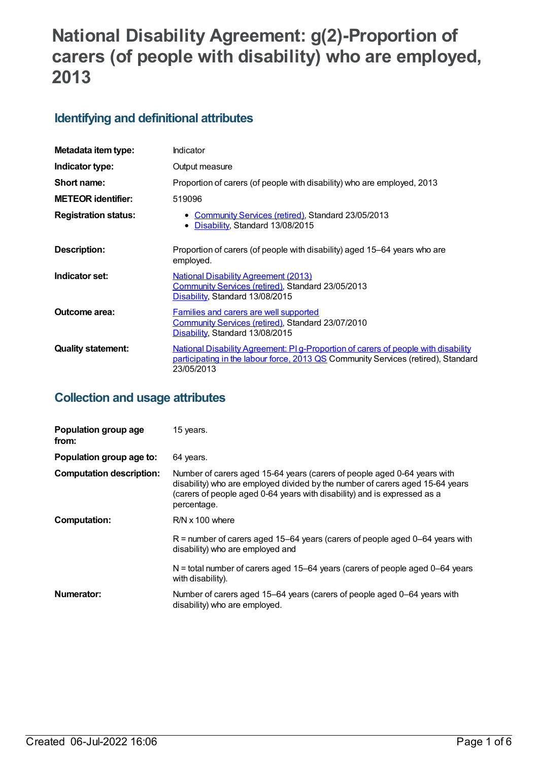# **National Disability Agreement: g(2)-Proportion of carers (of people with disability) who are employed, 2013**

## **Identifying and definitional attributes**

| Metadata item type:         | Indicator                                                                                                                                                                             |
|-----------------------------|---------------------------------------------------------------------------------------------------------------------------------------------------------------------------------------|
| Indicator type:             | Output measure                                                                                                                                                                        |
| Short name:                 | Proportion of carers (of people with disability) who are employed, 2013                                                                                                               |
| <b>METEOR identifier:</b>   | 519096                                                                                                                                                                                |
| <b>Registration status:</b> | • Community Services (retired), Standard 23/05/2013<br>Disability, Standard 13/08/2015<br>$\bullet$                                                                                   |
| <b>Description:</b>         | Proportion of carers (of people with disability) aged 15–64 years who are<br>employed.                                                                                                |
| Indicator set:              | <b>National Disability Agreement (2013)</b><br>Community Services (retired), Standard 23/05/2013<br>Disability, Standard 13/08/2015                                                   |
| Outcome area:               | Families and carers are well supported<br>Community Services (retired), Standard 23/07/2010<br>Disability, Standard 13/08/2015                                                        |
| <b>Quality statement:</b>   | National Disability Agreement: PI g-Proportion of carers of people with disability<br>participating in the labour force, 2013 QS Community Services (retired), Standard<br>23/05/2013 |

## **Collection and usage attributes**

| Population group age<br>from:   | 15 years.                                                                                                                                                                                                                                            |
|---------------------------------|------------------------------------------------------------------------------------------------------------------------------------------------------------------------------------------------------------------------------------------------------|
| Population group age to:        | 64 years.                                                                                                                                                                                                                                            |
| <b>Computation description:</b> | Number of carers aged 15-64 years (carers of people aged 0-64 years with<br>disability) who are employed divided by the number of carers aged 15-64 years<br>(carers of people aged 0-64 years with disability) and is expressed as a<br>percentage. |
| <b>Computation:</b>             | R/N x 100 where                                                                                                                                                                                                                                      |
|                                 | $R$ = number of carers aged 15–64 years (carers of people aged 0–64 years with<br>disability) who are employed and                                                                                                                                   |
|                                 | $N =$ total number of carers aged 15–64 years (carers of people aged 0–64 years<br>with disability).                                                                                                                                                 |
| Numerator:                      | Number of carers aged 15–64 years (carers of people aged 0–64 years with<br>disability) who are employed.                                                                                                                                            |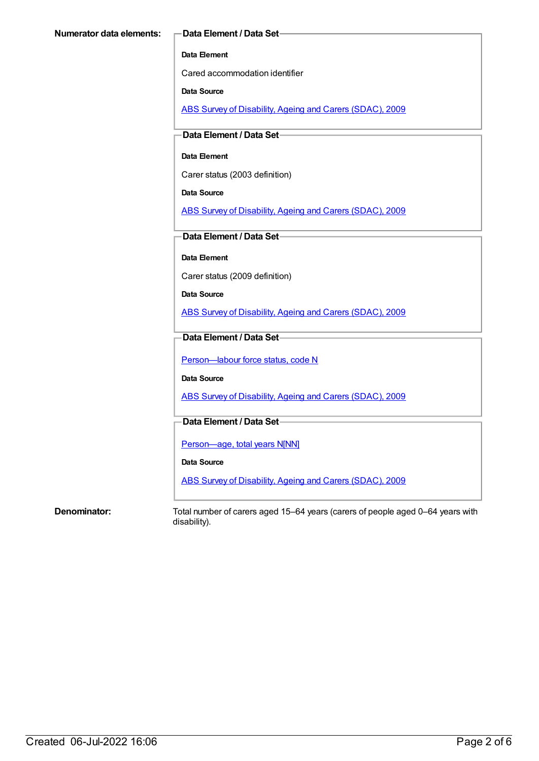#### **Data Element**

Cared accommodation identifier

**Data Source**

ABS Survey of [Disability,](https://meteor.aihw.gov.au/content/445288) Ageing and Carers (SDAC), 2009

**Data Element / Data Set**

#### **Data Element**

Carer status (2003 definition)

**Data Source**

ABS Survey of [Disability,](https://meteor.aihw.gov.au/content/445288) Ageing and Carers (SDAC), 2009

**Data Element / Data Set**

**Data Element**

Carer status (2009 definition)

**Data Source**

ABS Survey of [Disability,](https://meteor.aihw.gov.au/content/445288) Ageing and Carers (SDAC), 2009

### **Data Element / Data Set**

Person-labour force status, code N

**Data Source**

ABS Survey of [Disability,](https://meteor.aihw.gov.au/content/445288) Ageing and Carers (SDAC), 2009

### **Data Element / Data Set**

[Person—age,](https://meteor.aihw.gov.au/content/303794) total years N[NN]

**Data Source**

ABS Survey of [Disability,](https://meteor.aihw.gov.au/content/445288) Ageing and Carers (SDAC), 2009

**Denominator:** Total number of carers aged 15–64 years (carers of people aged 0–64 years with disability).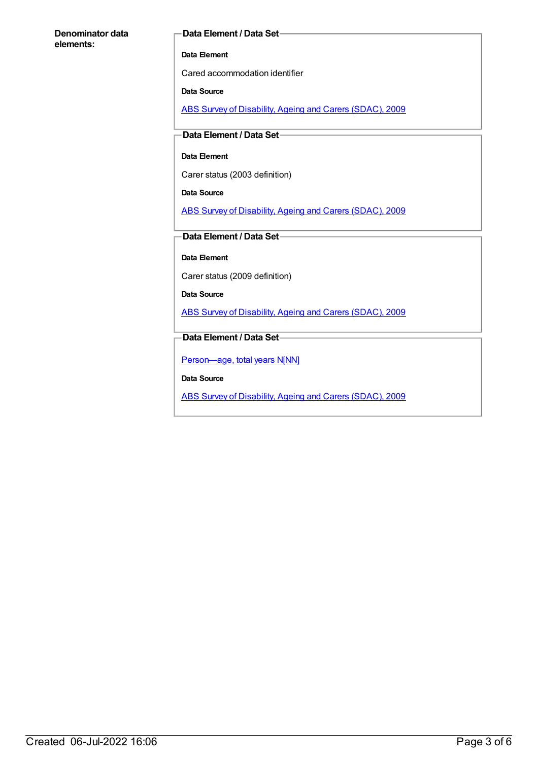#### **Denominator data elements:**

#### **Data Element / Data Set**

#### **Data Element**

Cared accommodation identifier

#### **Data Source**

ABS Survey of [Disability,](https://meteor.aihw.gov.au/content/445288) Ageing and Carers (SDAC), 2009

#### **Data Element / Data Set**

#### **Data Element**

Carer status (2003 definition)

**Data Source**

ABS Survey of [Disability,](https://meteor.aihw.gov.au/content/445288) Ageing and Carers (SDAC), 2009

### **Data Element / Data Set**

**Data Element**

Carer status (2009 definition)

**Data Source**

ABS Survey of [Disability,](https://meteor.aihw.gov.au/content/445288) Ageing and Carers (SDAC), 2009

#### **Data Element / Data Set**

[Person—age,](https://meteor.aihw.gov.au/content/303794) total years N[NN]

**Data Source**

ABS Survey of [Disability,](https://meteor.aihw.gov.au/content/445288) Ageing and Carers (SDAC), 2009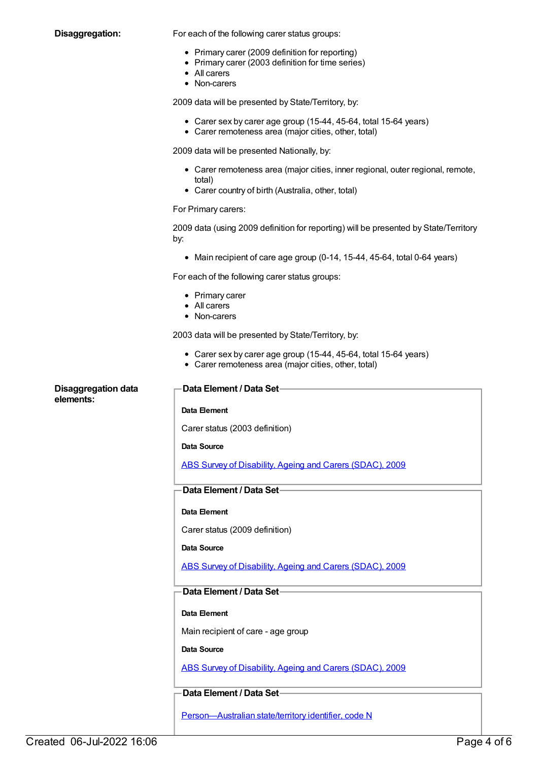**Disaggregation:** For each of the following carer status groups:

- Primary carer (2009 definition for reporting)
- Primary carer (2003 definition for time series)
- All carers
- Non-carers

2009 data will be presented by State/Territory, by:

- Carer sex by carer age group (15-44, 45-64, total 15-64 years)
- Carer remoteness area (major cities, other, total)

2009 data will be presented Nationally, by:

- Carer remoteness area (major cities, inner regional, outer regional, remote, total)
- Carer country of birth (Australia, other, total)

#### For Primary carers:

2009 data (using 2009 definition for reporting) will be presented by State/Territory by:

• Main recipient of care age group (0-14, 15-44, 45-64, total 0-64 years)

For each of the following carer status groups:

- Primary carer
- All carers
- Non-carers

2003 data will be presented by State/Territory, by:

- Carer sex by carer age group (15-44, 45-64, total 15-64 years)
- Carer remoteness area (major cities, other, total)

| <b>Disaggregation data</b><br>elements: | Data Element / Data Set-                                 |
|-----------------------------------------|----------------------------------------------------------|
|                                         | Data Element                                             |
|                                         | Carer status (2003 definition)                           |
|                                         | Data Source                                              |
|                                         | ABS Survey of Disability, Ageing and Carers (SDAC), 2009 |
|                                         | Data Element / Data Set-                                 |
|                                         | Data Element                                             |
|                                         | Carer status (2009 definition)                           |
|                                         | Data Source                                              |
|                                         | ABS Survey of Disability, Ageing and Carers (SDAC), 2009 |
|                                         | Data Element / Data Set-                                 |
|                                         | Data Element                                             |
|                                         | Main recipient of care - age group                       |
|                                         | Data Source                                              |
|                                         | ABS Survey of Disability, Ageing and Carers (SDAC), 2009 |
|                                         | Data Element / Data Set-                                 |
|                                         | Person-Australian state/territory identifier, code N     |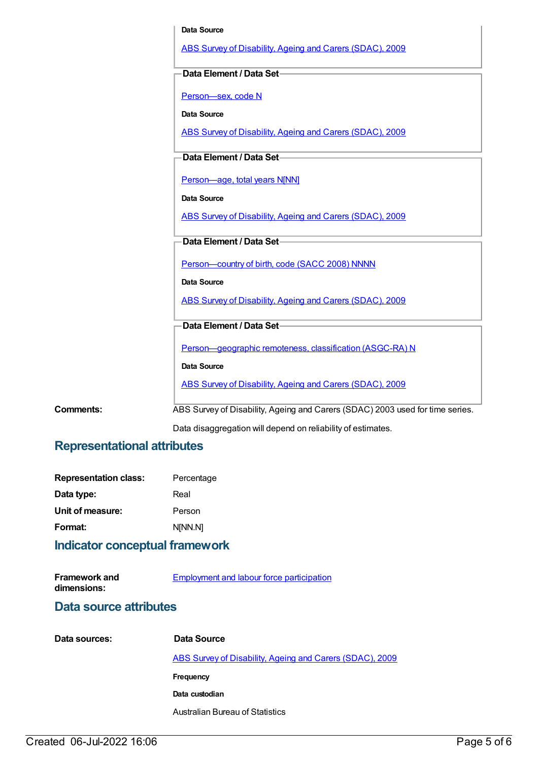|           | Data Source                                                                   |
|-----------|-------------------------------------------------------------------------------|
|           | ABS Survey of Disability, Ageing and Carers (SDAC), 2009                      |
|           | Data Element / Data Set-                                                      |
|           | Person-sex, code N                                                            |
|           | Data Source                                                                   |
|           | ABS Survey of Disability, Ageing and Carers (SDAC), 2009                      |
|           | Data Element / Data Set-                                                      |
|           | Person-age, total years N[NN]                                                 |
|           | <b>Data Source</b>                                                            |
|           | ABS Survey of Disability, Ageing and Carers (SDAC), 2009                      |
|           | Data Element / Data Set-                                                      |
|           | Person-country of birth, code (SACC 2008) NNNN                                |
|           | <b>Data Source</b>                                                            |
|           | ABS Survey of Disability, Ageing and Carers (SDAC), 2009                      |
|           | Data Element / Data Set-                                                      |
|           | Person-geographic remoteness, classification (ASGC-RA) N                      |
|           | Data Source                                                                   |
|           | ABS Survey of Disability, Ageing and Carers (SDAC), 2009                      |
| Comments: | ABS Survey of Disability, Ageing and Carers (SDAC) 2003 used for time series. |
|           | Data disaggregation will depend on reliability of estimates.                  |

## **Representational attributes**

| <b>Representation class:</b> | Percentage |
|------------------------------|------------|
| Data type:                   | Real       |
| Unit of measure:             | Person     |
| Format:                      | N[NN.N]    |

## **Indicator conceptual framework**

| <b>Framework and</b> | Employment and labour force participation |
|----------------------|-------------------------------------------|
| dimensions:          |                                           |

## **Data source attributes**

| Data sources: | Data Source                                              |
|---------------|----------------------------------------------------------|
|               | ABS Survey of Disability, Ageing and Carers (SDAC), 2009 |
|               | Frequency                                                |
|               | Data custodian                                           |
|               | Australian Bureau of Statistics                          |